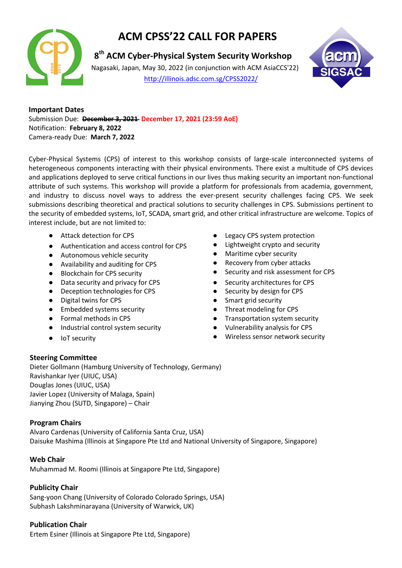

# **ACM CPSS'22 CALL FOR PAPERS**

**8<sup>th</sup> ACM Cyber-Physical System Security Workshop** 

 Nagasaki, Japan, May 30, 2022 (in conjunction with ACM AsiaCCS'22) <http://illinois.adsc.com.sg/CPSS2022/>



**Important Dates** Submission Due: **December 3, 2021 December 17, 2021 (23:59 AoE)** Notification: **February 8, 2022** Camera-ready Due: **March 7, 2022**

Cyber-Physical Systems (CPS) of interest to this workshop consists of large-scale interconnected systems of heterogeneous components interacting with their physical environments. There exist a multitude of CPS devices and applications deployed to serve critical functions in our lives thus making security an important non-functional attribute of such systems. This workshop will provide a platform for professionals from academia, government, and industry to discuss novel ways to address the ever-present security challenges facing CPS. We seek submissions describing theoretical and practical solutions to security challenges in CPS. Submissions pertinent to the security of embedded systems, IoT, SCADA, smart grid, and other critical infrastructure are welcome. Topics of interest include, but are not limited to:

- Attack detection for CPS
- Authentication and access control for CPS
- Autonomous vehicle security
- Availability and auditing for CPS
- Blockchain for CPS security
- Data security and privacy for CPS
- Deception technologies for CPS
- Digital twins for CPS
- Embedded systems security
- Formal methods in CPS
- Industrial control system security
- IoT security
- Legacy CPS system protection
- Lightweight crypto and security
- Maritime cyber security
- Recovery from cyber attacks
- Security and risk assessment for CPS
- Security architectures for CPS
- Security by design for CPS
- Smart grid security
- Threat modeling for CPS
- Transportation system security
- Vulnerability analysis for CPS
- Wireless sensor network security

### **Steering Committee**

Dieter Gollmann (Hamburg University of Technology, Germany) Ravishankar Iyer (UIUC, USA) Douglas Jones (UIUC, USA) Javier Lopez (University of Malaga, Spain) Jianying Zhou (SUTD, Singapore) – Chair

### **Program Chairs**

Alvaro Cardenas (University of California Santa Cruz, USA) Daisuke Mashima (Illinois at Singapore Pte Ltd and National University of Singapore, Singapore)

## **Web Chair**

Muhammad M. Roomi (Illinois at Singapore Pte Ltd, Singapore)

## **Publicity Chair**

Sang-yoon Chang (University of Colorado Colorado Springs, USA) Subhash Lakshminarayana (University of Warwick, UK)

## **Publication Chair**

Ertem Esiner (Illinois at Singapore Pte Ltd, Singapore)